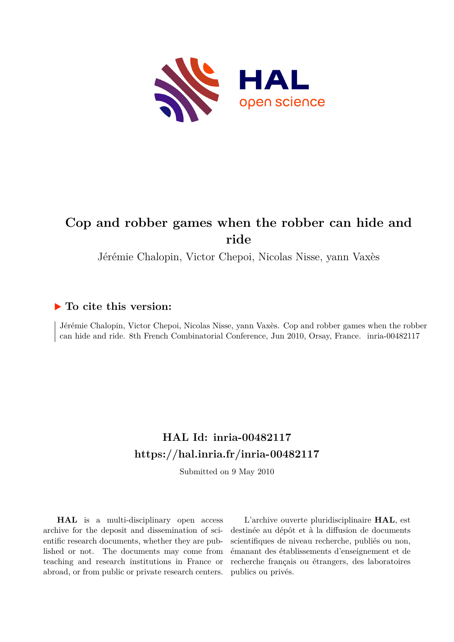

## **Cop and robber games when the robber can hide and ride**

Jérémie Chalopin, Victor Chepoi, Nicolas Nisse, yann Vaxès

## **To cite this version:**

Jérémie Chalopin, Victor Chepoi, Nicolas Nisse, yann Vaxès. Cop and robber games when the robber can hide and ride. 8th French Combinatorial Conference, Jun 2010, Orsay, France. inria-00482117

## **HAL Id: inria-00482117 <https://hal.inria.fr/inria-00482117>**

Submitted on 9 May 2010

**HAL** is a multi-disciplinary open access archive for the deposit and dissemination of scientific research documents, whether they are published or not. The documents may come from teaching and research institutions in France or abroad, or from public or private research centers.

L'archive ouverte pluridisciplinaire **HAL**, est destinée au dépôt et à la diffusion de documents scientifiques de niveau recherche, publiés ou non, émanant des établissements d'enseignement et de recherche français ou étrangers, des laboratoires publics ou privés.